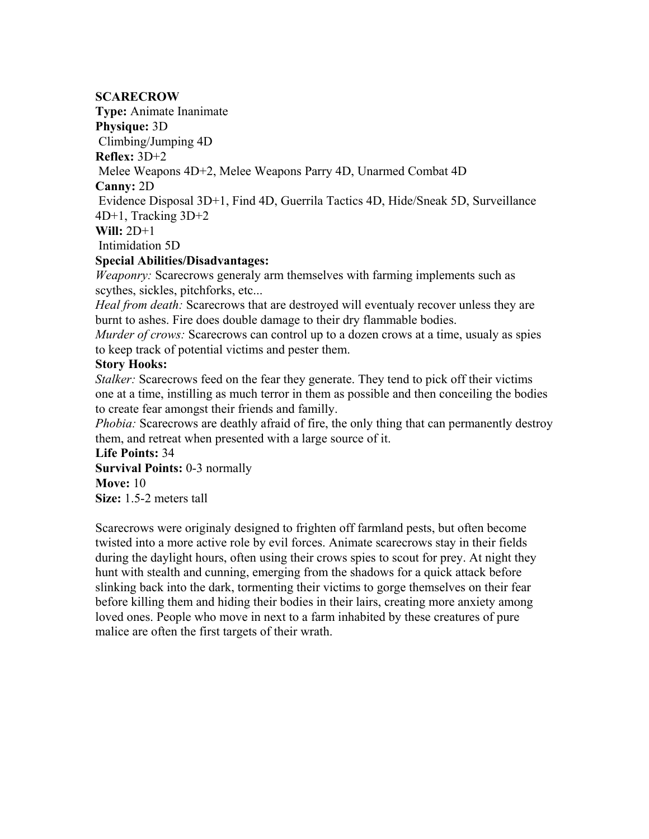#### **SCARECROW**

**Type:** Animate Inanimate

**Physique:** 3D

Climbing/Jumping 4D

**Reflex:** 3D+2

Melee Weapons 4D+2, Melee Weapons Parry 4D, Unarmed Combat 4D

**Canny:** 2D

 Evidence Disposal 3D+1, Find 4D, Guerrila Tactics 4D, Hide/Sneak 5D, Surveillance 4D+1, Tracking 3D+2

**Will:** 2D+1

Intimidation 5D

# **Special Abilities/Disadvantages:**

*Weaponry:* Scarecrows generaly arm themselves with farming implements such as scythes, sickles, pitchforks, etc...

*Heal from death:* Scarecrows that are destroyed will eventualy recover unless they are burnt to ashes. Fire does double damage to their dry flammable bodies.

*Murder of crows:* Scarecrows can control up to a dozen crows at a time, usualy as spies to keep track of potential victims and pester them.

# **Story Hooks:**

*Stalker:* Scarecrows feed on the fear they generate. They tend to pick off their victims one at a time, instilling as much terror in them as possible and then conceiling the bodies to create fear amongst their friends and familly.

*Phobia:* Scarecrows are deathly afraid of fire, the only thing that can permanently destroy them, and retreat when presented with a large source of it.

**Life Points:** 34 **Survival Points:** 0-3 normally **Move:** 10 **Size:** 1.5-2 meters tall

Scarecrows were originaly designed to frighten off farmland pests, but often become twisted into a more active role by evil forces. Animate scarecrows stay in their fields during the daylight hours, often using their crows spies to scout for prey. At night they hunt with stealth and cunning, emerging from the shadows for a quick attack before slinking back into the dark, tormenting their victims to gorge themselves on their fear before killing them and hiding their bodies in their lairs, creating more anxiety among loved ones. People who move in next to a farm inhabited by these creatures of pure malice are often the first targets of their wrath.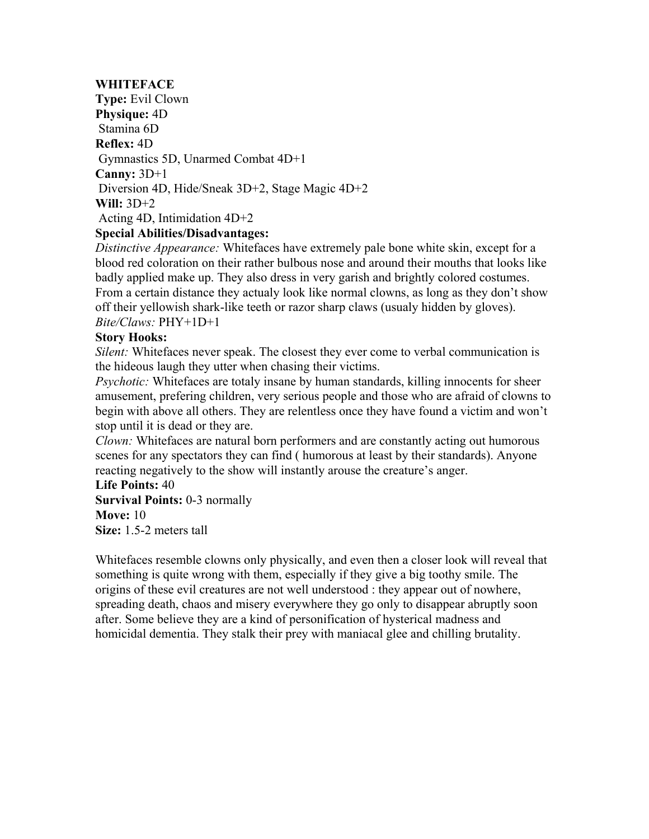# **WHITEFACE**

**Type:** Evil Clown **Physique:** 4D Stamina 6D **Reflex:** 4D Gymnastics 5D, Unarmed Combat 4D+1 **Canny:** 3D+1 Diversion 4D, Hide/Sneak 3D+2, Stage Magic 4D+2 **Will:** 3D+2 Acting 4D, Intimidation 4D+2

# **Special Abilities/Disadvantages:**

*Distinctive Appearance:* Whitefaces have extremely pale bone white skin, except for a blood red coloration on their rather bulbous nose and around their mouths that looks like badly applied make up. They also dress in very garish and brightly colored costumes. From a certain distance they actualy look like normal clowns, as long as they don't show off their yellowish shark-like teeth or razor sharp claws (usualy hidden by gloves). *Bite/Claws:* PHY+1D+1

# **Story Hooks:**

*Silent:* Whitefaces never speak. The closest they ever come to verbal communication is the hideous laugh they utter when chasing their victims.

*Psychotic:* Whitefaces are totaly insane by human standards, killing innocents for sheer amusement, prefering children, very serious people and those who are afraid of clowns to begin with above all others. They are relentless once they have found a victim and won't stop until it is dead or they are.

*Clown:* Whitefaces are natural born performers and are constantly acting out humorous scenes for any spectators they can find ( humorous at least by their standards). Anyone reacting negatively to the show will instantly arouse the creature's anger.

#### **Life Points:** 40

**Survival Points:** 0-3 normally **Move:** 10 **Size:** 1.5-2 meters tall

Whitefaces resemble clowns only physically, and even then a closer look will reveal that something is quite wrong with them, especially if they give a big toothy smile. The origins of these evil creatures are not well understood : they appear out of nowhere, spreading death, chaos and misery everywhere they go only to disappear abruptly soon after. Some believe they are a kind of personification of hysterical madness and homicidal dementia. They stalk their prey with maniacal glee and chilling brutality.